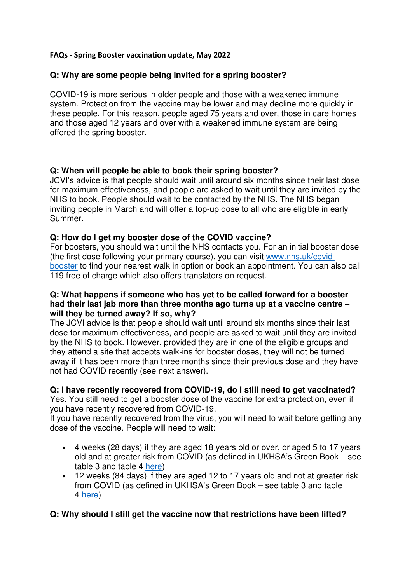#### FAQs - Spring Booster vaccination update, May 2022

## **Q: Why are some people being invited for a spring booster?**

COVID-19 is more serious in older people and those with a weakened immune system. Protection from the vaccine may be lower and may decline more quickly in these people. For this reason, people aged 75 years and over, those in care homes and those aged 12 years and over with a weakened immune system are being offered the spring booster.

## **Q: When will people be able to book their spring booster?**

JCVI's advice is that people should wait until around six months since their last dose for maximum effectiveness, and people are asked to wait until they are invited by the NHS to book. People should wait to be contacted by the NHS. The NHS began inviting people in March and will offer a top-up dose to all who are eligible in early Summer.

## **Q: How do I get my booster dose of the COVID vaccine?**

For boosters, you should wait until the NHS contacts you. For an initial booster dose (the first dose following your primary course), you can visit www.nhs.uk/covidbooster to find your nearest walk in option or book an appointment. You can also call 119 free of charge which also offers translators on request.

#### **Q: What happens if someone who has yet to be called forward for a booster had their last jab more than three months ago turns up at a vaccine centre – will they be turned away? If so, why?**

The JCVI advice is that people should wait until around six months since their last dose for maximum effectiveness, and people are asked to wait until they are invited by the NHS to book. However, provided they are in one of the eligible groups and they attend a site that accepts walk-ins for booster doses, they will not be turned away if it has been more than three months since their previous dose and they have not had COVID recently (see next answer).

## **Q: I have recently recovered from COVID-19, do I still need to get vaccinated?**

Yes. You still need to get a booster dose of the vaccine for extra protection, even if you have recently recovered from COVID-19.

If you have recently recovered from the virus, you will need to wait before getting any dose of the vaccine. People will need to wait:

- 4 weeks (28 days) if they are aged 18 years old or over, or aged 5 to 17 years old and at greater risk from COVID (as defined in UKHSA's Green Book – see table 3 and table 4 here)
- 12 weeks (84 days) if they are aged 12 to 17 years old and not at greater risk from COVID (as defined in UKHSA's Green Book – see table 3 and table 4 here)

## **Q: Why should I still get the vaccine now that restrictions have been lifted?**